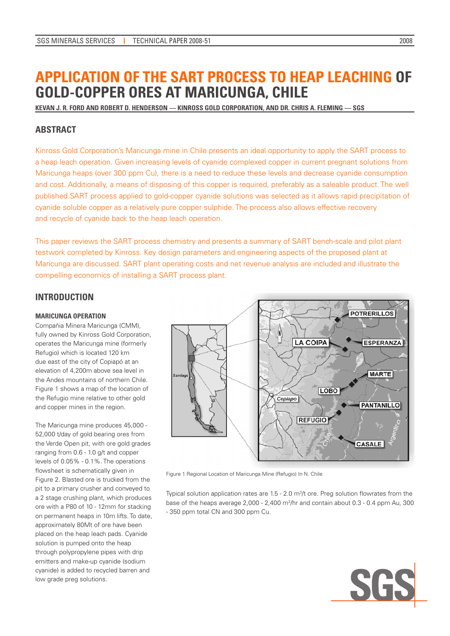# **APPLICATION OF THE SART PROCESS TO HEAP LEACHING OF GOLD-COPPER ORES AT MARICUNGA, CHILE**

**KEVAN J. R. FORD AND ROBERT D. HENDERSON –– KINROSS GOLD CORPORATION, AND DR. CHRIS A. FLEMING –– SGS**

# **ABSTRACT**

Kinross Gold Corporation's Maricunga mine in Chile presents an ideal opportunity to apply the SART process to a heap leach operation. Given increasing levels of cyanide complexed copper in current pregnant solutions from Maricunga heaps (over 300 ppm Cu), there is a need to reduce these levels and decrease cyanide consumption and cost. Additionally, a means of disposing of this copper is required, preferably as a saleable product. The well published SART process applied to gold-copper cyanide solutions was selected as it allows rapid precipitation of cyanide soluble copper as a relatively pure copper sulphide. The process also allows effective recovery and recycle of cyanide back to the heap leach operation.

This paper reviews the SART process chemistry and presents a summary of SART bench-scale and pilot plant testwork completed by Kinross. Key design parameters and engineering aspects of the proposed plant at Maricunga are discussed. SART plant operating costs and net revenue analysis are included and illustrate the compelling economics of installing a SART process plant.

# **INTRODUCTION**

#### **MARICUNGA OPERATION**

Compañia Minera Maricunga (CMM), fully owned by Kinross Gold Corporation, operates the Maricunga mine (formerly Refugio) which is located 120 km due east of the city of Copiapó at an elevation of 4,200m above sea level in the Andes mountains of northern Chile. Figure 1 shows a map of the location of the Refugio mine relative to other gold and copper mines in the region.

The Maricunga mine produces 45,000 - 52,000 t/day of gold bearing ores from the Verde Open pit, with ore gold grades ranging from 0.6 - 1.0 g/t and copper levels of 0.05% - 0.1%. The operations flowsheet is schematically given in Figure 2. Blasted ore is trucked from the pit to a primary crusher and conveyed to a 2 stage crushing plant, which produces ore with a P80 of 10 - 12mm for stacking on permanent heaps in 10m lifts. To date, approximately 80Mt of ore have been placed on the heap leach pads. Cyanide solution is pumped onto the heap through polypropylene pipes with drip emitters and make-up cyanide (sodium cyanide) is added to recycled barren and low grade preg solutions.



Figure 1 Regional Location of Maricunga Mine (Refugio) In N. Chile

Typical solution application rates are  $1.5 - 2.0$  m<sup>3</sup>/t ore. Preg solution flowrates from the base of the heaps average  $2,000 - 2,400$  m<sup>3</sup>/hr and contain about  $0.3 - 0.4$  ppm Au, 300 - 350 ppm total CN and 300 ppm Cu.

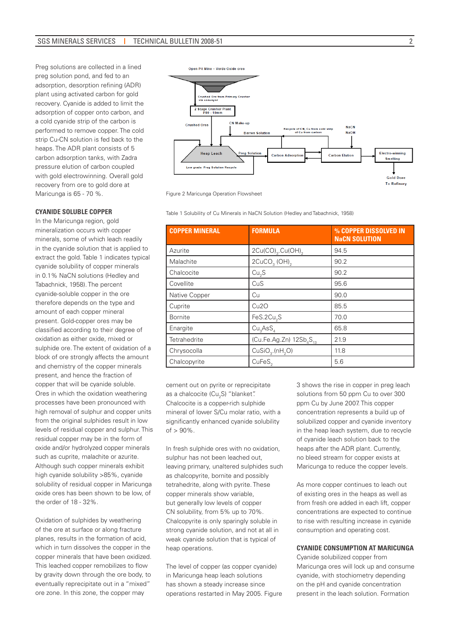Preg solutions are collected in a lined preg solution pond, and fed to an adsorption, desorption refining (ADR) plant using activated carbon for gold recovery. Cyanide is added to limit the adsorption of copper onto carbon, and a cold cyanide strip of the carbon is performed to remove copper. The cold strip Cu-CN solution is fed back to the heaps. The ADR plant consists of 5 carbon adsorption tanks, with Zadra pressure elution of carbon coupled with gold electrowinning. Overall gold recovery from ore to gold dore at Maricunga is 65 - 70 %.

#### **CYANIDE SOLUBLE COPPER**

In the Maricunga region, gold mineralization occurs with copper minerals, some of which leach readily in the cyanide solution that is applied to extract the gold. Table 1 indicates typical cyanide solubility of copper minerals in 0.1% NaCN solutions (Hedley and Tabachnick, 1958). The percent cyanide-soluble copper in the ore therefore depends on the type and amount of each copper mineral present. Gold-copper ores may be classified according to their degree of oxidation as either oxide, mixed or sulphide ore. The extent of oxidation of a block of ore strongly affects the amount and chemistry of the copper minerals present, and hence the fraction of copper that will be cyanide soluble. Ores in which the oxidation weathering processes have been pronounced with high removal of sulphur and copper units from the original sulphides result in low levels of residual copper and sulphur. This residual copper may be in the form of oxide and/or hydrolyzed copper minerals such as cuprite, malachite or azurite. Although such copper minerals exhibit high cyanide solubility >85%, cyanide solubility of residual copper in Maricunga oxide ores has been shown to be low, of the order of 18 - 32%.

Oxidation of sulphides by weathering of the ore at surface or along fracture planes, results in the formation of acid, which in turn dissolves the copper in the copper minerals that have been oxidized. This leached copper remobilizes to flow by gravity down through the ore body, to eventually reprecipitate out in a "mixed" ore zone. In this zone, the copper may



Figure 2 Maricunga Operation Flowsheet

Table 1 Solubility of Cu Minerals in NaCN Solution (Hedley and Tabachnick, 1958)

| <b>COPPER MINERAL</b> | <b>FORMULA</b>                          | % COPPER DISSOLVED IN<br><b>NaCN SOLUTION</b> |
|-----------------------|-----------------------------------------|-----------------------------------------------|
| Azurite               | $2Cu(CO)_{3}$ .Cu(OH) <sub>2</sub>      | 94.5                                          |
| Malachite             | 2CuCO <sub>3</sub> (OH) <sub>2</sub>    | 90.2                                          |
| Chalcocite            | Cu <sub>2</sub> S                       | 90.2                                          |
| Covellite             | CuS                                     | 95.6                                          |
| Native Copper         | Cu                                      | 90.0                                          |
| Cuprite               | Cu2O                                    | 85.5                                          |
| <b>Bornite</b>        | FeS.2Cu <sub>2</sub> S                  | 70.0                                          |
| Enargite              | Cu <sub>3</sub> AsS <sub>4</sub>        | 65.8                                          |
| Tetrahedrite          | (Cu.Fe.Ag.Zn) $12Sb_4S_{13}$            | 21.9                                          |
| Chrysocolla           | CuSiO <sub>3</sub> .(nH <sub>2</sub> O) | 11.8                                          |
| Chalcopyrite          | CuFeS <sub>2</sub>                      | 5.6                                           |

cement out on pyrite or reprecipitate as a chalcocite (Cu<sub>2</sub>S) "blanket". Chalcocite is a copper-rich sulphide mineral of lower S/Cu molar ratio, with a significantly enhanced cyanide solubility  $of > 90\%$ 

In fresh sulphide ores with no oxidation, sulphur has not been leached out, leaving primary, unaltered sulphides such as chalcopyrite, bornite and possibly tetrahedrite, along with pyrite. These copper minerals show variable, but generally low levels of copper CN solubility, from 5% up to 70%. Chalcopyrite is only sparingly soluble in strong cyanide solution, and not at all in weak cyanide solution that is typical of heap operations.

The level of copper (as copper cyanide) in Maricunga heap leach solutions has shown a steady increase since operations restarted in May 2005. Figure 3 shows the rise in copper in preg leach solutions from 50 ppm Cu to over 300 ppm Cu by June 2007. This copper concentration represents a build up of solubilized copper and cyanide inventory in the heap leach system, due to recycle of cyanide leach solution back to the heaps after the ADR plant. Currently, no bleed stream for copper exists at Maricunga to reduce the copper levels.

As more copper continues to leach out of existing ores in the heaps as well as from fresh ore added in each lift, copper concentrations are expected to continue to rise with resulting increase in cyanide consumption and operating cost.

#### **CYANIDE CONSUMPTION AT MARICUNGA**

Cyanide solubilized copper from Maricunga ores will lock up and consume cyanide, with stochiometry depending on the pH and cyanide concentration present in the leach solution. Formation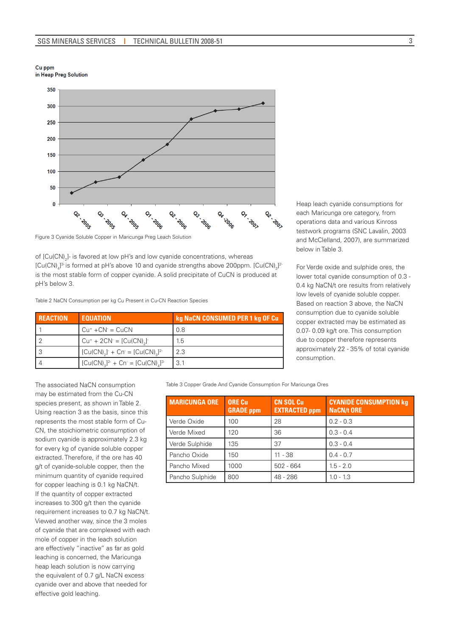Cu ppm in Heap Preg Solution



Figure 3 Cyanide Soluble Copper in Maricunga Preg Leach Solution

of [Cu(CN)<sub>2</sub>]- is favored at low pH's and low cyanide concentrations, whereas [Cu(CN)<sub>4</sub>]<sup>3</sup> is formed at pH's above 10 and cyanide strengths above 200ppm. [Cu(CN)<sub>3</sub>]<sup>2</sup> is the most stable form of copper cyanide. A solid precipitate of CuCN is produced at pH's below 3.

Table 2 NaCN Consumption per kg Cu Present in Cu-CN Reaction Species

| <b>REACTION</b> | <b>EQUATION</b>                                                                   | kg NaCN CONSUMED PER 1 kg OF Cu |
|-----------------|-----------------------------------------------------------------------------------|---------------------------------|
|                 | $Cu^+ + CN^- = CuCN$                                                              | 0.8                             |
|                 | $Cu^{+} + 2CN = [Cu(CN)_{2}]^{-}$                                                 | 1.5                             |
|                 | $[Cu(CN)$ <sub>2</sub> $+$ Cn <sup>-</sup> = $[Cu(CN)$ <sub>2</sub> <sup>2-</sup> | 2.3                             |
|                 | $[Cu(CN)_{3}]^{2} + Cn = [Cu(CN)_{4}]^{3}$                                        | 3.1                             |

Heap leach cyanide consumptions for each Maricunga ore category, from operations data and various Kinross testwork programs (SNC Lavalin, 2003 and McClelland, 2007), are summarized below in Table 3.

For Verde oxide and sulphide ores, the lower total cyanide consumption of 0.3 - 0.4 kg NaCN/t ore results from relatively low levels of cyanide soluble copper. Based on reaction 3 above, the NaCN consumption due to cyanide soluble copper extracted may be estimated as 0.07- 0.09 kg/t ore. This consumption due to copper therefore represents approximately 22 - 35% of total cyanide consumption.

The associated NaCN consumption may be estimated from the Cu-CN species present, as shown in Table 2. Using reaction 3 as the basis, since this represents the most stable form of Cu-CN, the stoichiometric consumption of sodium cyanide is approximately 2.3 kg for every kg of cyanide soluble copper extracted. Therefore, if the ore has 40 g/t of cyanide-soluble copper, then the minimum quantity of cyanide required for copper leaching is 0.1 kg NaCN/t. If the quantity of copper extracted increases to 300 g/t then the cyanide requirement increases to 0.7 kg NaCN/t. Viewed another way, since the 3 moles of cyanide that are complexed with each mole of copper in the leach solution are effectively "inactive" as far as gold leaching is concerned, the Maricunga heap leach solution is now carrying the equivalent of 0.7 g/L NaCN excess cyanide over and above that needed for effective gold leaching.

Table 3 Copper Grade And Cyanide Consumption For Maricunga Ores

| <b>MARICUNGA ORE</b> | <b>ORE Cu</b><br><b>GRADE</b> ppm | <b>CN SOL Cu</b><br><b>EXTRACTED ppm</b> | <b>CYANIDE CONSUMPTION kg</b><br><b>NaCN/t ORE</b> |
|----------------------|-----------------------------------|------------------------------------------|----------------------------------------------------|
| Verde Oxide          | 100                               | 28                                       | $0.2 - 0.3$                                        |
| Verde Mixed          | 120                               | 36                                       | $0.3 - 0.4$                                        |
| Verde Sulphide       | 135                               | 37                                       | $0.3 - 0.4$                                        |
| Pancho Oxide         | 150                               | 11 - 38                                  | $0.4 - 0.7$                                        |
| Pancho Mixed         | 1000                              | $502 - 664$                              | $1.5 - 2.0$                                        |
| Pancho Sulphide      | 800                               | 48 - 286                                 | $1.0 - 1.3$                                        |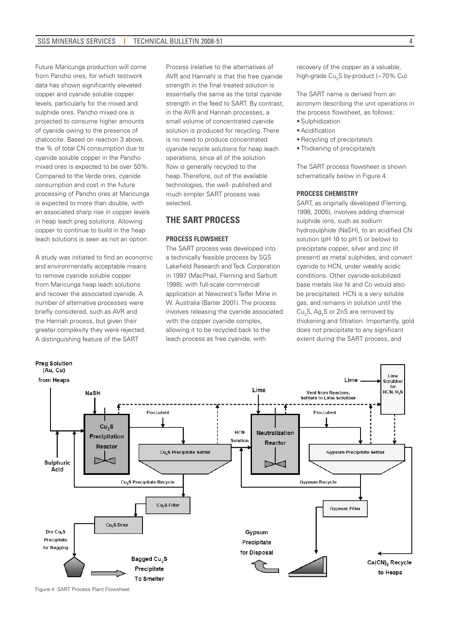Future Maricunga production will come from Pancho ores, for which testwork data has shown significantly elevated copper and cyanide soluble copper levels, particularly for the mixed and sulphide ores. Pancho mixed ore is projected to consume higher amounts of cyanide owing to the presence of chalcocite. Based on reaction 3 above, the % of total CN consumption due to cyanide soluble copper in the Pancho mixed ores is expected to be over 50%. Compared to the Verde ores, cyanide consumption and cost in the future processing of Pancho ores at Maricunga is expected to more than double, with an associated sharp rise in copper levels in heap leach preg solutions. Allowing copper to continue to build in the heap leach solutions is seen as not an option.

A study was initiated to find an economic and environmentally acceptable means to remove cyanide soluble copper from Maricunga heap leach solutions and recover the associated cyanide. A number of alternative processes were briefly considered, such as AVR and the Hannah process, but given their greater complexity they were rejected. A distinguishing feature of the SART

Process (relative to the alternatives of AVR and Hannah) is that the free cyanide strength in the final treated solution is essentially the same as the total cyanide strength in the feed to SART. By contrast, in the AVR and Hannah processes, a small volume of concentrated cyanide solution is produced for recycling. There is no need to produce concentrated cyanide recycle solutions for heap leach operations, since all of the solution flow is generally recycled to the heap. Therefore, out of the available technologies, the well- published and much simpler SART process was selected.

# **THE SART PROCESS**

#### **PROCESS FLOWSHEET**

The SART process was developed into a technically feasible process by SGS Lakefield Research and Teck Corporation in 1997 (MacPhail, Fleming and Sarbutt 1998), with full-scale commercial application at Newcrest's Telfer Mine in W. Australia (Barter 2001). The process involves releasing the cyanide associated with the copper cyanide complex, allowing it to be recycled back to the leach process as free cyanide, with

recovery of the copper as a valuable, high-grade Cu<sub>2</sub>S by-product (~70% Cu).

The SART name is derived from an acronym describing the unit operations in the process flowsheet, as follows:

- Sulphidization
- Acidification
- Recycling of precipitate/s
- Thickening of precipitate/s

The SART process flowsheet is shown schematically below in Figure 4.

#### **PROCESS CHEMISTRY**

SART, as originally developed (Fleming, 1998, 2005), involves adding chemical sulphide ions, such as sodium hydrosulphide (NaSH), to an acidified CN solution (pH 10 to pH 5 or below) to precipitate copper, silver and zinc (if present) as metal sulphides, and convert cyanide to HCN, under weakly acidic conditions. Other cyanide-solubilized base metals like Ni and Co would also be precipitated. HCN is a very soluble gas, and remains in solution until the Cu<sub>2</sub>S,  $Ag_2S$  or ZnS are removed by thickening and filtration. Importantly, gold does not precipitate to any significant extent during the SART process, and



Figure 4 SART Process Plant Flowsheet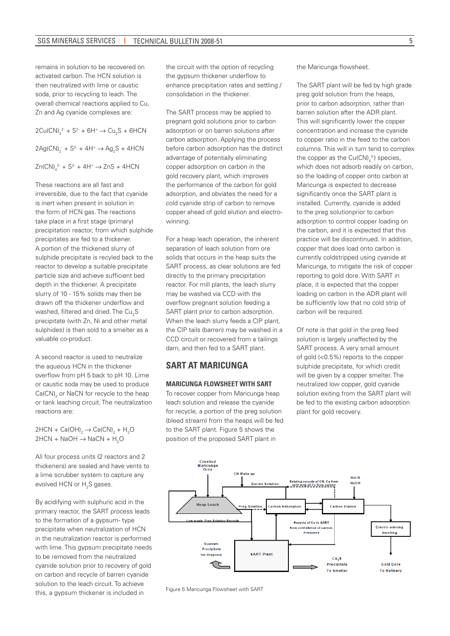remains in solution to be recovered on activated carbon. The HCN solution is then neutralized with lime or caustic soda, prior to recycling to leach. The overall chemical reactions applied to Cu, Zn and Ag cyanide complexes are:

 $2Cu(CN)_{3}^{2} + S^{2} + 6H^{+} \rightarrow Cu_{2}S + 6HCN$  $2Ag(CN)<sub>2</sub> + S<sup>2</sup> + 4H<sup>+</sup> \rightarrow Ag<sub>2</sub>S + 4HCN$  $Zn(CN)<sub>4</sub><sup>2-</sup> + S<sup>2-</sup> + 4H<sup>+</sup> \rightarrow ZnS + 4HCN$ 

These reactions are all fast and irreversible, due to the fact that cyanide is inert when present in solution in the form of HCN gas. The reactions take place in a first stage (primary) precipitation reactor, from which sulphide precipitates are fed to a thickener. A portion of the thickened slurry of sulphide precipitate is recyled back to the reactor to develop a suitable precipitate particle size and achieve sufficient bed depth in the thickener. A precipitate slurry of 10 - 15% solids may then be drawn off the thickener underflow and washed, filtered and dried. The  $\mathrm{Cu_{2}S}$ precipitate (with Zn, Ni and other metal sulphides) is then sold to a smelter as a valuable co-product.

A second reactor is used to neutralize the aqueous HCN in the thickener overflow from pH 5 back to pH 10. Lime or caustic soda may be used to produce  $\textsf{Ca(CN)}_{2}$  or NaCN for recycle to the heap or tank leaching circuit. The neutralization reactions are:

2HCN + Ca(OH) $_2 \rightarrow$  Ca(CN) $_2$  + H<sub>2</sub>O 2HCN + NaOH  $\rightarrow$  NaCN + H<sub>2</sub>O

All four process units (2 reactors and 2 thickeners) are sealed and have vents to a lime scrubber system to capture any evolved HCN or  $H_2S$  gases.

By acidifying with sulphuric acid in the primary reactor, the SART process leads to the formation of a gypsum- type precipitate when neutralization of HCN in the neutralization reactor is performed with lime. This gypsum precipitate needs to be removed from the neutralized cyanide solution prior to recovery of gold on carbon and recycle of barren cyanide solution to the leach circuit. To achieve this, a gypsum thickener is included in Figure 5 Maricunga Flowsheet with SART

the circuit with the option of recycling the gypsum thickener underflow to enhance precipitation rates and settling / consolidation in the thickener.

The SART process may be applied to pregnant gold solutions prior to carbon adsorption or on barren solutions after carbon adsorption. Applying the process before carbon adsorption has the distinct advantage of potentially eliminating copper adsorption on carbon in the gold recovery plant, which improves the performance of the carbon for gold adsorption, and obviates the need for a cold cyanide strip of carbon to remove copper ahead of gold elution and electrowinning.

For a heap leach operation, the inherent separation of leach solution from ore solids that occurs in the heap suits the SART process, as clear solutions are fed directly to the primary precipitation reactor. For mill plants, the leach slurry may be washed via CCD with the overflow pregnant solution feeding a SART plant prior to carbon adsorption. When the leach slurry feeds a CIP plant, the CIP tails (barren) may be washed in a CCD circuit or recovered from a tailings dam, and then fed to a SART plant.

### **SART AT MARICUNGA**

#### **MARICUNGA FLOWSHEET WITH SART**

To recover copper from Maricunga heap leach solution and release the cyanide for recycle, a portion of the preg solution (bleed stream) from the heaps will be fed to the SART plant. Figure 5 shows the position of the proposed SART plant in

the Maricunga flowsheet.

The SART plant will be fed by high grade preg gold solution from the heaps, prior to carbon adsorption, rather than barren solution after the ADR plant. This will significantly lower the copper concentration and increase the cyanide to copper ratio in the feed to the carbon columns. This will in turn tend to complex the copper as the  $Cu(CN)<sub>4</sub><sup>3</sup>$ ) species, which does not adsorb readily on carbon, so the loading of copper onto carbon at Maricunga is expected to decrease significantly once the SART plant is installed. Currently, cyanide is added to the preg solutionprior to carbon adsorption to control copper loading on the carbon, and it is expected that this practice will be discontinued. In addition, copper that does load onto carbon is currently coldstripped using cyanide at Maricunga, to mitigate the risk of copper reporting to gold dore. With SART in place, it is expected that the copper loading on carbon in the ADR plant will be sufficiently low that no cold strip of carbon will be required.

Of note is that gold in the preg feed solution is largely unaffected by the SART process. A very small amount of gold (<0.5%) reports to the copper sulphide precipitate, for which credit will be given by a copper smelter. The neutralized low copper, gold cyanide solution exiting from the SART plant will be fed to the existing carbon adsorption plant for gold recovery.

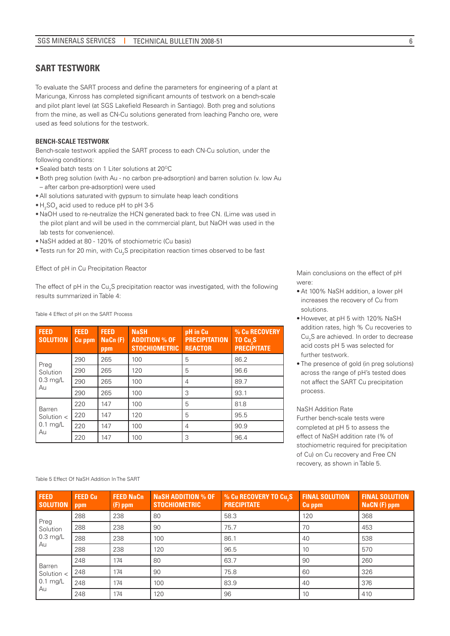### **SART TESTWORK**

To evaluate the SART process and define the parameters for engineering of a plant at Maricunga, Kinross has completed significant amounts of testwork on a bench-scale and pilot plant level (at SGS Lakefield Research in Santiago). Both preg and solutions from the mine, as well as CN-Cu solutions generated from leaching Pancho ore, were used as feed solutions for the testwork.

#### **BENCH-SCALE TESTWORK**

Bench-scale testwork applied the SART process to each CN-Cu solution, under the following conditions:

- Sealed batch tests on 1 Liter solutions at 20°C
- •Both preg solution (with Au no carbon pre-adsorption) and barren solution (v. low Au – after carbon pre-adsorption) were used
- All solutions saturated with gypsum to simulate heap leach conditions
- $\bullet$  H<sub>2</sub>SO<sub>4</sub> acid used to reduce pH to pH 3-5
- NaOH used to re-neutralize the HCN generated back to free CN. (Lime was used in the pilot plant and will be used in the commercial plant, but NaOH was used in the lab tests for convenience).
- NaSH added at 80 120% of stochiometric (Cu basis)
- $\bullet$  Tests run for 20 min, with Cu<sub>2</sub>S precipitation reaction times observed to be fast

Effect of pH in Cu Precipitation Reactor

The effect of pH in the Cu<sub>2</sub>S precipitation reactor was investigated, with the following results summarized in Table 4:

Table 4 Effect of pH on the SART Process

| <b>FEED</b><br><b>SOLUTION</b> | <b>FEED</b><br><b>Cu</b> ppm | <b>FEED</b><br>Nacn(F)<br>ppm | <b>NaSH</b><br><b>ADDITION % OF</b><br><b>STOCHIOMETRIC</b> | pH in Cu<br><b>PRECIPITATION</b><br><b>REACTOR</b> | % Cu RECOVERY<br>TO Cu <sub>2</sub> S<br><b>PRECIPITATE</b> |
|--------------------------------|------------------------------|-------------------------------|-------------------------------------------------------------|----------------------------------------------------|-------------------------------------------------------------|
| Preg                           | 290                          | 265                           | 100                                                         | 5                                                  | 86.2                                                        |
| Solution                       | 290                          | 265                           | 120                                                         | 5                                                  | 96.6                                                        |
| $0.3$ mg/L<br>Au               | 290                          | 265                           | 100                                                         | 4                                                  | 89.7                                                        |
|                                | 290                          | 265                           | 100                                                         | 3                                                  | 93.1                                                        |
| Barren                         | 220                          | 147                           | 100                                                         | 5                                                  | 81.8                                                        |
| Solution $\lt$                 | 220                          | 147                           | 120                                                         | 5                                                  | 95.5                                                        |
| $0.1$ mg/L                     | 220                          | 147                           | 100                                                         | 4                                                  | 90.9                                                        |
| Au                             | 220                          | 147                           | 100                                                         | 3                                                  | 96.4                                                        |

Main conclusions on the effect of pH were:

- At 100% NaSH addition, a lower pH increases the recovery of Cu from solutions.
- However, at pH 5 with 120% NaSH addition rates, high % Cu recoveries to Cu<sub>2</sub>S are achieved. In order to decrease acid costs pH 5 was selected for further testwork.
- The presence of gold (in preg solutions) across the range of pH's tested does not affect the SART Cu precipitation process.

NaSH Addition Rate Further bench-scale tests were completed at pH 5 to assess the effect of NaSH addition rate (% of stochiometric required for precipitation of Cu) on Cu recovery and Free CN recovery, as shown in Table 5.

| <b>FEED</b><br><b>SOLUTION</b> | <b>FEED Cu</b><br>ppm | <b>FEED NaCn</b><br>$(F)$ ppm | <b>Nash Addition % OF .</b><br><b>STOCHIOMETRIC</b> | <b>% Cu RECOVERY TO Cu<sub>2</sub>S</b><br><b>PRECIPITATE</b> | <b>FINAL SOLUTION</b><br><b>Cu</b> ppm | <b>FINAL SOLUTION</b><br>$NaCN$ (F) ppm |
|--------------------------------|-----------------------|-------------------------------|-----------------------------------------------------|---------------------------------------------------------------|----------------------------------------|-----------------------------------------|
| Preg                           | 288                   | 238                           | 80                                                  | 58.3                                                          | 120                                    | 368                                     |
| Solution                       | 288                   | 238                           | 90                                                  | 75.7                                                          | 70                                     | 453                                     |
| $0.3$ mg/L                     | 288                   | 238                           | 100                                                 | 86.1                                                          | 40                                     | 538                                     |
| Au                             | 288                   | 238                           | 120                                                 | 96.5                                                          | 10                                     | 570                                     |
| Barren                         | 248                   | 174                           | 80                                                  | 63.7                                                          | 90                                     | 260                                     |
| Solution $\lt$                 | 248                   | 174                           | 90                                                  | 75.8                                                          | 60                                     | 326                                     |
| $0.1$ mg/L                     | 248                   | 174                           | 100                                                 | 83.9                                                          | 40                                     | 376                                     |
| Au                             | 248                   | 174                           | 120                                                 | 96                                                            | 10                                     | 410                                     |

Table 5 Effect Of NaSH Addition In The SART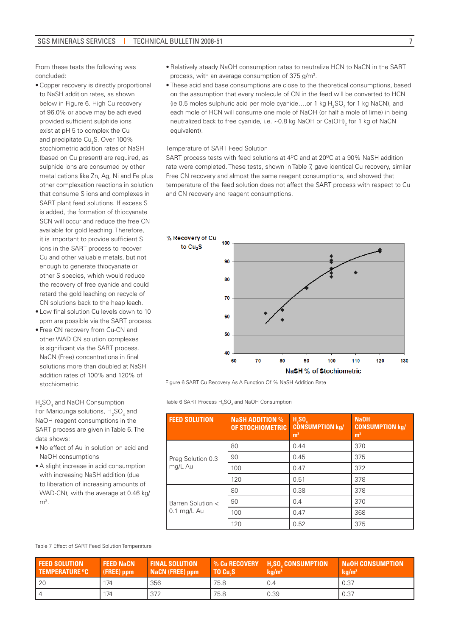From these tests the following was concluded:

- Copper recovery is directly proportional to NaSH addition rates, as shown below in Figure 6. High Cu recovery of 96.0% or above may be achieved provided sufficient sulphide ions exist at pH 5 to complex the Cu and precipitate Cu<sub>2</sub>S. Over 100% stochiometric addition rates of NaSH (based on Cu present) are required, as sulphide ions are consumed by other metal cations like Zn, Ag, Ni and Fe plus other complexation reactions in solution that consume S ions and complexes in SART plant feed solutions. If excess S is added, the formation of thiocyanate SCN will occur and reduce the free CN available for gold leaching. Therefore, it is important to provide sufficient S ions in the SART process to recover Cu and other valuable metals, but not enough to generate thiocyanate or other S species, which would reduce the recovery of free cyanide and could retard the gold leaching on recycle of CN solutions back to the heap leach.
- Low final solution Cu levels down to 10 ppm are possible via the SART process.
- Free CN recovery from Cu-CN and other WAD CN solution complexes is significant via the SART process. NaCN (Free) concentrations in final solutions more than doubled at NaSH addition rates of 100% and 120% of stochiometric.

H<sub>2</sub>SO<sub>4</sub> and NaOH Consumption For Maricunga solutions,  $H_2SO_4$  and NaOH reagent consumptions in the SART process are given in Table 6. The data shows:

- • No effect of Au in solution on acid and NaOH consumptions
- • A slight increase in acid consumption with increasing NaSH addition (due to liberation of increasing amounts of WAD-CN), with the average at 0.46 kg/  $m<sup>3</sup>$ .
- Relatively steady NaOH consumption rates to neutralize HCN to NaCN in the SART process, with an average consumption of 375 g/m<sup>3</sup>.
- These acid and base consumptions are close to the theoretical consumptions, based on the assumption that every molecule of CN in the feed will be converted to HCN (ie 0.5 moles sulphuric acid per mole cyanide....or 1 kg  $H_2SO_4$  for 1 kg NaCN), and each mole of HCN will consume one mole of NaOH (or half a mole of lime) in being neutralized back to free cyanide, i.e. ~0.8 kg NaOH or Ca(OH) $_{\rm 2}$  for 1 kg of NaCN equivalent).

#### Temperature of SART Feed Solution

SART process tests with feed solutions at  $4^{\circ}$ C and at 20 $^{\circ}$ C at a 90% NaSH addition rate were completed. These tests, shown in Table 7, gave identical Cu recovery, similar Free CN recovery and almost the same reagent consumptions, and showed that temperature of the feed solution does not affect the SART process with respect to Cu and CN recovery and reagent consumptions.



Figure 6 SART Cu Recovery As A Function Of % NaSH Addition Rate

Table 6 SART Process  $\mathsf{H}_2\mathsf{SO}_4$  and NaOH Consumption

| <b>FEED SOLUTION</b> | <b>NaSH ADDITION %</b><br>OF STOCHIOMETRIC | $H_2SO_a$<br><b>CONSUMPTION kg/</b><br>m <sup>3</sup> | <b>NaOH</b><br><b>CONSUMPTION kg/</b><br>m <sup>3</sup> |  |
|----------------------|--------------------------------------------|-------------------------------------------------------|---------------------------------------------------------|--|
|                      | 80                                         | 0.44                                                  | 370                                                     |  |
| Preg Solution 0.3    | 90                                         | 0.45                                                  | 375                                                     |  |
| mg/L Au              | 100                                        | 0.47                                                  | 372                                                     |  |
|                      | 120                                        | 0.51                                                  | 378                                                     |  |
|                      | 80                                         | 0.38                                                  | 378                                                     |  |
| Barren Solution <    | 90                                         | 0.4                                                   | 370                                                     |  |
| $0.1$ mg/L Au        | 100                                        | 0.47                                                  | 368                                                     |  |
|                      | 120                                        | 0.52                                                  | 375                                                     |  |

Table 7 Effect of SART Feed Solution Temperature

| <b>FEED SOLUTION</b><br><b>TEMPERATURE °C</b> | <b>FEED NaCN</b><br>$(FREE)$ ppm | <b>FINAL SOLUTION</b><br><b>NaCN (FREE) ppm</b> | <b>M</b> Cu RECOVERY<br>TO Cu.S | <b>H.SO. CONSUMPTION</b><br>kg/m <sup>3</sup> | <b>Naoh Consumption'</b><br>kq/m <sup>3</sup> |
|-----------------------------------------------|----------------------------------|-------------------------------------------------|---------------------------------|-----------------------------------------------|-----------------------------------------------|
| 20                                            | 174                              | 356                                             | 75.8                            | 0.4                                           | 0.37                                          |
| $\overline{4}$                                | 174                              | 372                                             | 75.8                            | 0.39                                          | 0.37                                          |

7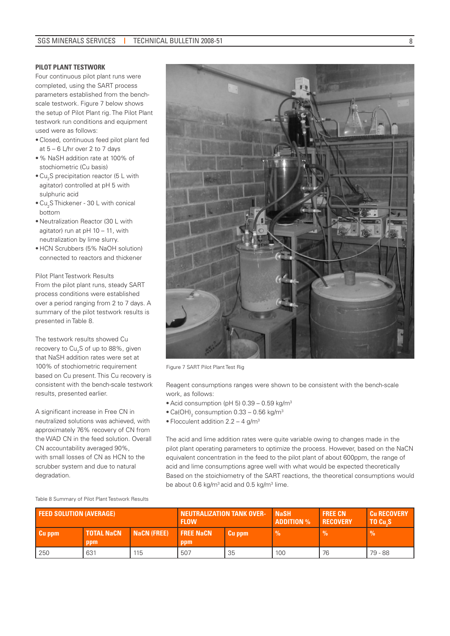#### **PILOT PLANT TESTWORK**

Four continuous pilot plant runs were completed, using the SART process parameters established from the benchscale testwork. Figure 7 below shows the setup of Pilot Plant rig. The Pilot Plant testwork run conditions and equipment used were as follows:

- Closed, continuous feed pilot plant fed at 5 – 6 L/hr over 2 to 7 days
- % NaSH addition rate at 100% of stochiometric (Cu basis)
- $\bullet$  Cu<sub>2</sub>S precipitation reactor (5 L with agitator) controlled at pH 5 with sulphuric acid
- $\bullet$  Cu<sub>2</sub>S Thickener 30 L with conical bottom
- Neutralization Reactor (30 L with agitator) run at pH 10 – 11, with neutralization by lime slurry.
- HCN Scrubbers (5% NaOH solution) connected to reactors and thickener

Pilot Plant Testwork Results From the pilot plant runs, steady SART process conditions were established over a period ranging from 2 to 7 days. A summary of the pilot testwork results is presented in Table 8.

The testwork results showed Cu recovery to Cu<sub>2</sub>S of up to 88%, given that NaSH addition rates were set at 100% of stochiometric requirement based on Cu present. This Cu recovery is consistent with the bench-scale testwork results, presented earlier.

A significant increase in Free CN in neutralized solutions was achieved, with approximately 76% recovery of CN from the WAD CN in the feed solution. Overall CN accountability averaged 90%, with small losses of CN as HCN to the scrubber system and due to natural degradation.

Figure 7 SART Pilot Plant Test Rig

Reagent consumptions ranges were shown to be consistent with the bench-scale work, as follows:

- Acid consumption (pH 5)  $0.39 0.59$  kg/m<sup>3</sup>
- $\bullet$  Ca(OH)<sub>2</sub> consumption 0.33 0.56 kg/m<sup>3</sup>
- Flocculent addition  $2.2 4$  g/m<sup>3</sup>

The acid and lime addition rates were quite variable owing to changes made in the pilot plant operating parameters to optimize the process. However, based on the NaCN equivalent concentration in the feed to the pilot plant of about 600ppm, the range of acid and lime consumptions agree well with what would be expected theoretically Based on the stoichiometry of the SART reactions, the theoretical consumptions would be about 0.6 kg/m<sup>3</sup> acid and 0.5 kg/m<sup>3</sup> lime.

Table 8 Summary of Pilot Plant Testwork Results

| <b>FEED SOLUTION (AVERAGE)</b> |                          | <b>NEUTRALIZATION TANK OVER-</b><br><b>FLOW</b> |                         | <b>NaSH</b><br><b>ADDITION</b> % | <b>FREE CN</b><br><b>RECOVERY</b> | <b>Cu RECOVERY</b><br>TO Cu.S |               |
|--------------------------------|--------------------------|-------------------------------------------------|-------------------------|----------------------------------|-----------------------------------|-------------------------------|---------------|
| Cu ppm                         | <b>TOTAL NaCN</b><br>ppm | NaCN (FREE)                                     | <b>FREE NaCN</b><br>ppm | Cu ppm                           | $\frac{9}{6}$                     | Vo.                           | $\frac{9}{6}$ |
| 250                            | 631                      | 115                                             | 507                     | 35                               | 100                               | 76                            | 79 - 88       |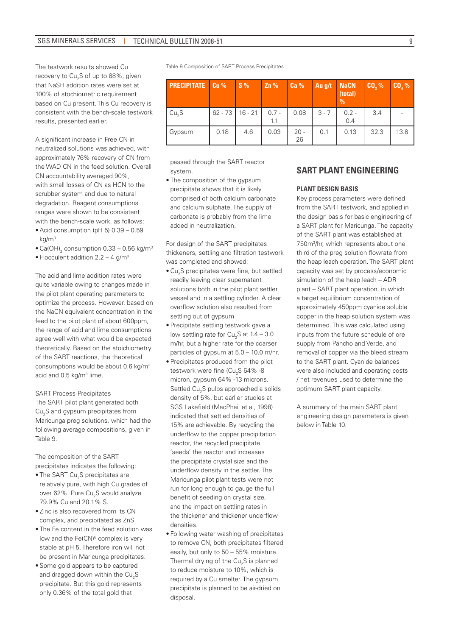The testwork results showed Cu recovery to Cu<sub>2</sub>S of up to 88%, given that NaSH addition rates were set at 100% of stochiometric requirement based on Cu present. This Cu recovery is consistent with the bench-scale testwork results, presented earlier.

A significant increase in Free CN in neutralized solutions was achieved, with approximately 76% recovery of CN from the WAD CN in the feed solution. Overall CN accountability averaged 90%, with small losses of CN as HCN to the scrubber system and due to natural degradation. Reagent consumptions ranges were shown to be consistent with the bench-scale work, as follows:

- Acid consumption (pH 5)  $0.39 0.59$  $k$ g/m<sup>3</sup>
- $\bullet$  Ca(OH) $_2$  consumption 0.33 0.56 kg/m $^3$
- Flocculent addition  $2.2 4$  g/m<sup>3</sup>

The acid and lime addition rates were quite variable owing to changes made in the pilot plant operating parameters to optimize the process. However, based on the NaCN equivalent concentration in the feed to the pilot plant of about 600ppm, the range of acid and lime consumptions agree well with what would be expected theoretically. Based on the stoichiometry of the SART reactions, the theoretical consumptions would be about 0.6 kg/m3 acid and 0.5 kg/m<sup>3</sup> lime.

#### SART Process Precipitates

The SART pilot plant generated both Cu2 S and gypsum precipitates from Maricunga preg solutions, which had the following average compositions, given in Table 9.

The composition of the SART precipitates indicates the following:

- $\bullet$  The SART Cu<sub>2</sub>S precipitates are relatively pure, with high Cu grades of over 62%. Pure Cu<sub>2</sub>S would analyze 79.9% Cu and 20.1% S.
- Zinc is also recovered from its CN complex, and precipitated as ZnS
- The Fe content in the feed solution was low and the Fe(CN)<sup>6</sup> complex is very stable at pH 5. Therefore iron will not be present in Maricunga precipitates.
- Some gold appears to be captured and dragged down within the  $\mathsf{Cu}_{2}\mathsf{S}$ precipitate. But this gold represents only 0.36% of the total gold that

Table 9 Composition of SART Process Precipitates

| <b>PRECIPITATE</b>   Cu % |      | $S\%$             | $Zn\%$         | Ca <sub>96</sub> | Au g/t NaCN | (total)<br>$\frac{0}{0}$ | CO, % | $CO, \%$ |
|---------------------------|------|-------------------|----------------|------------------|-------------|--------------------------|-------|----------|
| Cu <sub>2</sub> S         |      | $62 - 73$ 16 - 21 | $0.7 -$<br>1.1 | 0.08             | $3 - 7$     | $0.2 -$<br>0.4           | 3.4   |          |
| Gypsum                    | 0.18 | 4.6               | 0.03           | $20 -$<br>26     | 0.1         | 0.13                     | 32.3  | 13.8     |

passed through the SART reactor system.

• The composition of the avpsum precipitate shows that it is likely comprised of both calcium carbonate and calcium sulphate. The supply of carbonate is probably from the lime added in neutralization.

For design of the SART precipitates thickeners, settling and filtration testwork was completed and showed:

- $\bullet$  Cu<sub>2</sub>S precipitates were fine, but settled readily leaving clear supernatant solutions both in the pilot plant settler vessel and in a settling cylinder. A clear overflow solution also resulted from settling out of avpsum
- • Precipitate settling testwork gave a low settling rate for  $Cu<sub>2</sub>$ S at 1.4 – 3.0 m/hr, but a higher rate for the coarser particles of gypsum at 5.0 – 10.0 m/hr.
- • Precipitates produced from the pilot testwork were fine (Cu<sub>2</sub>S 64% -8 micron, gypsum 64% -13 microns. Settled Cu<sub>2</sub>S pulps approached a solids density of 5%, but earlier studies at SGS Lakefield (MacPhail et al, 1998) indicated that settled densities of 15% are achievable. By recycling the underflow to the copper precipitation reactor, the recycled precipitate 'seeds' the reactor and increases the precipitate crystal size and the underflow density in the settler. The Maricunga pilot plant tests were not run for long enough to gauge the full benefit of seeding on crystal size, and the impact on settling rates in the thickener and thickener underflow densities.
- • Following water washing of precipitates to remove CN, both precipitates filtered easily, but only to 50 – 55% moisture. Thermal drying of the Cu $_{2}$ S is planned to reduce moisture to 10%, which is required by a Cu smelter. The gypsum precipitate is planned to be air-dried on disposal.

### **SART PLANT ENGINEERING**

#### **PLANT DESIGN BASIS**

Key process parameters were defined from the SART testwork, and applied in the design basis for basic engineering of a SART plant for Maricunga. The capacity of the SART plant was established at 750m3 /hr, which represents about one third of the preg solution flowrate from the heap leach operation. The SART plant capacity was set by process/economic simulation of the heap leach – ADR plant – SART plant operation, in which a target equilibrium concentration of approximately 450ppm cyanide soluble copper in the heap solution system was determined. This was calculated using inputs from the future schedule of ore supply from Pancho and Verde, and removal of copper via the bleed stream to the SART plant. Cyanide balances were also included and operating costs / net revenues used to determine the optimum SART plant capacity.

A summary of the main SART plant engineering design parameters is given below in Table 10.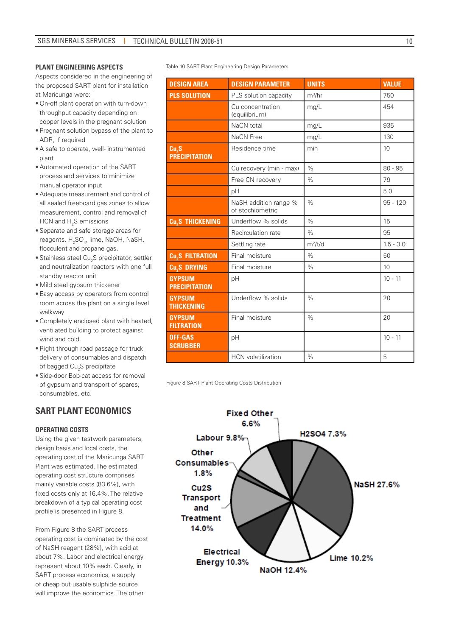#### **PLANT ENGINEERING ASPECTS**

Aspects considered in the engineering of the proposed SART plant for installation at Maricunga were:

- On-off plant operation with turn-down throughput capacity depending on copper levels in the pregnant solution
- Pregnant solution bypass of the plant to ADR, if required
- A safe to operate, well- instrumented plant
- Automated operation of the SART process and services to minimize manual operator input
- Adequate measurement and control of all sealed freeboard gas zones to allow measurement, control and removal of HCN and  $\rm H_2S$  emissions
- Separate and safe storage areas for reagents, H<sub>2</sub>SO<sub>4</sub>, lime, NaOH, NaSH, flocculent and propane gas.
- $\bullet$  Stainless steel Cu<sub>2</sub>S precipitator, settler and neutralization reactors with one full standby reactor unit
- Mild steel gypsum thickener
- Easy access by operators from control room across the plant on a single level walkway
- Completely enclosed plant with heated, ventilated building to protect against wind and cold.
- Right through road passage for truck delivery of consumables and dispatch of bagged Cu<sub>2</sub>S precipitate
- Side-door Bob-cat access for removal of gypsum and transport of spares, consumables, etc.

# **SART PLANT ECONOMICS**

#### **OPERATING COSTS**

Using the given testwork parameters, design basis and local costs, the operating cost of the Maricunga SART Plant was estimated. The estimated operating cost structure comprises mainly variable costs (83.6%), with fixed costs only at 16.4%. The relative breakdown of a typical operating cost profile is presented in Figure 8.

From Figure 8 the SART process operating cost is dominated by the cost of NaSH reagent (28%), with acid at about 7%. Labor and electrical energy represent about 10% each. Clearly, in SART process economics, a supply of cheap but usable sulphide source will improve the economics. The other

Table 10 SART Plant Engineering Design Parameters

| <b>DESIGN AREA</b>                    | <b>DESIGN PARAMETER</b>                   | <b>UNITS</b>  | <b>VALUE</b> |
|---------------------------------------|-------------------------------------------|---------------|--------------|
| <b>PLS SOLUTION</b>                   | PLS solution capacity                     | $m^3/hr$      | 750          |
|                                       | Cu concentration<br>(equilibrium)         | mg/L          | 454          |
|                                       | NaCN total                                | mg/L          | 935          |
|                                       | NaCN Free                                 | mg/L          | 130          |
| Cu,S<br><b>PRECIPITATION</b>          | Residence time                            | min           | 10           |
|                                       | Cu recovery (min - max)                   | $\frac{9}{6}$ | $80 - 95$    |
|                                       | Free CN recovery                          | $\%$          | 79           |
|                                       | pH                                        |               | 5.0          |
|                                       | NaSH addition range %<br>of stochiometric | $\%$          | $95 - 120$   |
| <b>Cu<sub>2</sub>S THICKENING</b>     | Underflow % solids                        | $\frac{9}{6}$ | 15           |
|                                       | Recirculation rate                        | $\%$          | 95           |
|                                       | Settling rate                             | $m^2/t/d$     | $1.5 - 3.0$  |
| <b>Cu<sub>s</sub>S FILTRATION</b>     | Final moisture                            | $\%$          | 50           |
| <b>Cu<sub>s</sub></b> DRYING          | Final moisture                            | $\%$          | 10           |
| <b>GYPSUM</b><br><b>PRECIPITATION</b> | pH                                        |               | $10 - 11$    |
| <b>GYPSUM</b><br><b>THICKENING</b>    | Underflow % solids                        | $\%$          | 20           |
| <b>GYPSUM</b><br><b>FILTRATION</b>    | Final moisture                            | $\%$          | 20           |
| <b>OFF-GAS</b><br><b>SCRUBBER</b>     | pH                                        |               | $10 - 11$    |
|                                       | <b>HCN</b> volatilization                 | $\%$          | 5            |

Figure 8 SART Plant Operating Costs Distribution

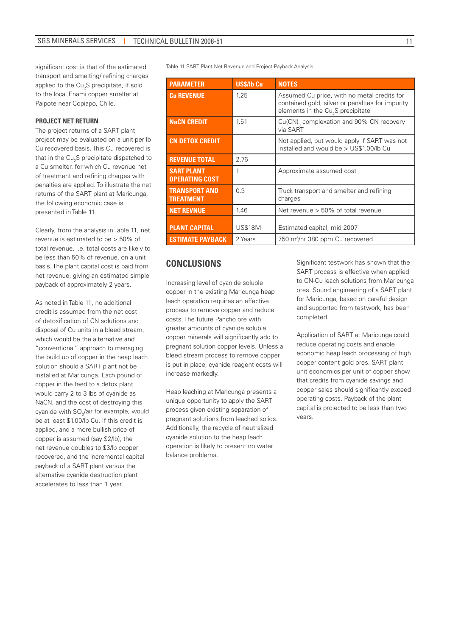transport and smelting/ refining charges applied to the Cu<sub>2</sub>S precipitate, if sold to the local Enami copper smelter at Paipote near Copiapo, Chile.

#### **PROJECT NET RETURN**

The project returns of a SART plant project may be evaluated on a unit per lb Cu recovered basis. This Cu recovered is that in the Cu $_{2}$ S precipitate dispatched to a Cu smelter, for which Cu revenue net of treatment and refining charges with penalties are applied. To illustrate the net returns of the SART plant at Maricunga, the following economic case is presented in Table 11.

Clearly, from the analysis in Table 11, net revenue is estimated to be > 50% of total revenue, i.e. total costs are likely to be less than 50% of revenue, on a unit basis. The plant capital cost is paid from net revenue, giving an estimated simple payback of approximately 2 years.

As noted in Table 11, no additional credit is assumed from the net cost of detoxification of CN solutions and disposal of Cu units in a bleed stream, which would be the alternative and "conventional" approach to managing the build up of copper in the heap leach solution should a SART plant not be installed at Maricunga. Each pound of copper in the feed to a detox plant would carry 2 to 3 lbs of cyanide as NaCN, and the cost of destroying this cyanide with SO<sub>2</sub>/air for example, would be at least \$1.00/lb Cu. If this credit is applied, and a more bullish price of copper is assumed (say \$2/lb), the net revenue doubles to \$3/lb copper recovered, and the incremental capital payback of a SART plant versus the alternative cyanide destruction plant accelerates to less than 1 year.

significant cost is that of the estimated Table 11 SART Plant Net Revenue and Project Payback Analysis

| <b>PARAMETER</b>                           | US\$/Ib Cu     | <b>NOTES</b>                                                                                                                                     |
|--------------------------------------------|----------------|--------------------------------------------------------------------------------------------------------------------------------------------------|
| <b>Cu REVENUE</b>                          | 1.25           | Assumed Cu price, with no metal credits for<br>contained gold, silver or penalties for impurity<br>elements in the Cu <sub>2</sub> S precipitate |
| <b>NaCN CREDIT</b>                         | 1.51           | Cu(CN) <sub>3</sub> complexation and 90% CN recovery<br>via SART                                                                                 |
| <b>CN DETOX CREDIT</b>                     |                | Not applied, but would apply if SART was not<br>installed and would be > US\$1.00/lb Cu                                                          |
| <b>REVENUE TOTAL</b>                       | 2.76           |                                                                                                                                                  |
| <b>SART PLANT</b><br><b>OPERATING COST</b> | 1              | Approximate assumed cost                                                                                                                         |
| <b>TRANSPORT AND</b><br><b>TREATMENT</b>   | 0.3            | Truck transport and smelter and refining<br>charges                                                                                              |
| <b>NET REVNUE</b>                          | 1.46           | Net revenue $> 50\%$ of total revenue                                                                                                            |
|                                            |                |                                                                                                                                                  |
| <b>PLANT CAPITAL</b>                       | <b>US\$18M</b> | Estimated capital, mid 2007                                                                                                                      |
| <b>ESTIMATE PAYBACK</b>                    | 2 Years        | 750 m <sup>3</sup> /hr 380 ppm Cu recovered                                                                                                      |

# **CONCLUSIONS**

Increasing level of cyanide soluble copper in the existing Maricunga heap leach operation requires an effective process to remove copper and reduce costs. The future Pancho ore with greater amounts of cyanide soluble copper minerals will significantly add to pregnant solution copper levels. Unless a bleed stream process to remove copper is put in place, cyanide reagent costs will increase markedly.

Heap leaching at Maricunga presents a unique opportunity to apply the SART process given existing separation of pregnant solutions from leached solids. Additionally, the recycle of neutralized cyanide solution to the heap leach operation is likely to present no water balance problems.

Significant testwork has shown that the SART process is effective when applied to CN-Cu leach solutions from Maricunga ores. Sound engineering of a SART plant for Maricunga, based on careful design and supported from testwork, has been completed.

Application of SART at Maricunga could reduce operating costs and enable economic heap leach processing of high copper content gold ores. SART plant unit economics per unit of copper show that credits from cyanide savings and copper sales should significantly exceed operating costs. Payback of the plant capital is projected to be less than two years.